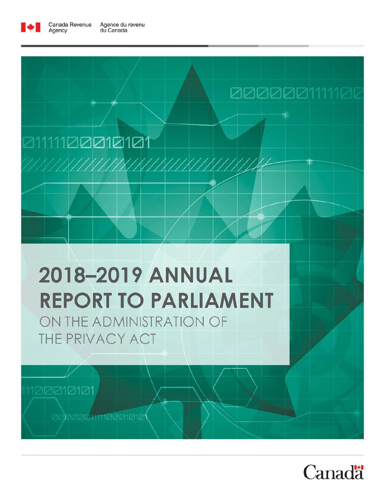

Agency

# 21111100**010101**

# 2018-2019 ANNUAL **REPORT TO PARLIAMENT**

ON THE ADMINISTRATION OF THE PRIVACY ACT

1100010101

**adhaachmaachar** 



0000001111100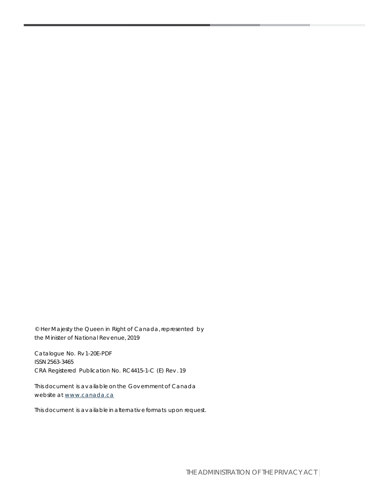© Her Majesty the Queen in Right of Canada, represented by the Minister of National Rev enue, 2019

Catalogue No. Rv 1-20E-PDF ISSN 2563-3465 CRA Registered Publication No. RC4415-1-C (E) Rev . 19

This document is av ailable on the Gov ernment of Canada website at [www.canada.ca](https://www.canada.ca/home.html)

This document is av ailable in alternativ e formats upon request.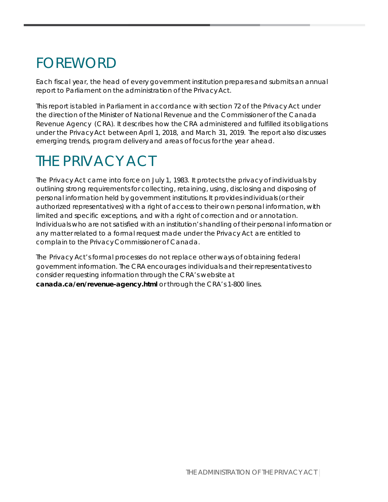# FOREWORD

Each fiscal year, the head of every government institution prepares and submits an annual report to Parliament on the administration of the Privacy Act.

This report is tabled in Parliament in accordance with section 72 of the Privacy Act under the direction of the Minister of National Revenue and the Commissioner of the Canada Revenue Agency (CRA). It describes how the CRA administered and fulfilled its obligations under the Privacy Act between April 1, 2018, and March 31, 2019. The report also discusses emerging trends, program deliveryand areas of focus for the year ahead.

# THE PRIVACY ACT

The Privacy Act came into force on July 1, 1983. It protects the privacy of individuals by outlining strong requirements for collecting, retaining, using, disclosingand disposing of personal information held by government institutions. It provides individuals (or their authorized representatives) with a right of access to their own personal information, with limited and specific exceptions, and with a right of correction and or annotation. Individuals who are not satisfied with an institution's handling of their personal information or any matter related to a formal request made under the Privacy Act are entitled to complain to the Privacy Commissioner of Canada.

The Privacy Act's formal processes do not replace other ways of obtaining federal government information. The CRA encourages individuals and their representatives to consider requesting information through the CRA's website at **canada.ca/en/revenue-agency.html** or through the CRA's 1-800 lines.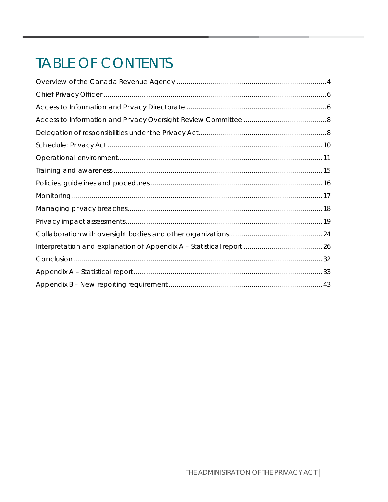# **TABLE OF CONTENTS**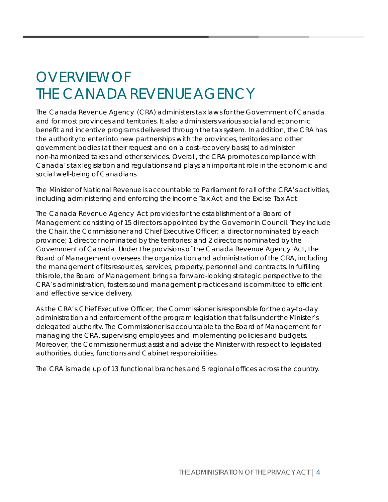# <span id="page-4-0"></span>OVERVIEW OF THE CANADA REVENUE AGENCY

The Canada Revenue Agency (CRA) administers tax laws for the Government of Canada and for most provinces and territories. It also administers various social and economic benefit and incentive programs delivered through the tax system. In addition, the CRA has the authority to enter into new partnerships with the provinces, territories and other government bodies (at their request and on a cost-recovery basis) to administer non-harmonized taxes and other services. Overall, the CRA promotes compliance with Canada's tax legislation and regulations and plays an important role in the economic and social well-being of Canadians.

The Minister of National Revenue is accountable to Parliament for all of the CRA's activities, including administering and enforcing the Income Tax Act and the Excise Tax Act.

The Canada Revenue Agency Act provides for the establishment of a Board of Management consisting of 15 directors appointed by the Governor in Council. They include the Chair, the Commissioner and Chief Executive Officer; a director nominated by each province; 1 director nominated by the territories; and 2 directors nominated by the Government of Canada. Under the provisions of the Canada Revenue Agency Act, the Board of Management oversees the organization and administration of the CRA, including the management of its resources, services, property, personnel and contracts. In fulfilling this role, the Board of Management brings a forward-looking strategic perspective to the CRA's administration, fosters sound management practices and is committed to efficient and effective service delivery.

As the CRA's Chief Executive Officer, the Commissioner is responsible for the day-to-day administration and enforcement of the program legislation that falls under the Minister's delegated authority. The Commissioner is accountable to the Board of Management for managing the CRA, supervising employees and implementing policies and budgets. Moreover, the Commissioner must assist and advise the Minister with respect to legislated authorities, duties, functions and Cabinet responsibilities.

The CRA is made up of 13 functional branches and 5 regional offices across the country.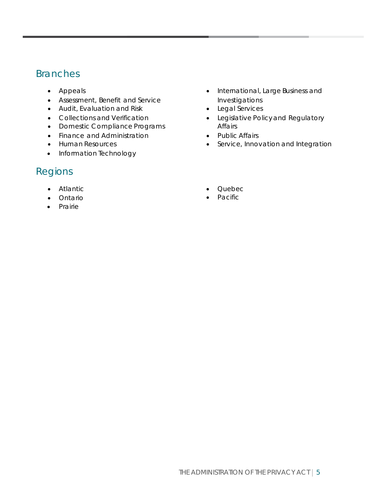#### Branches

- Appeals
- Assessment, Benefit and Service
- Audit, Evaluation and Risk
- Collections and Verification
- Domestic Compliance Programs
- Finance and Administration
- Human Resources
- Information Technology

#### Regions

- Atlantic
- Ontario
- Prairie
- International, Large Business and Investigations
- Legal Services
- Legislative Policy and Regulatory Affairs
- Public Affairs
- Service, Innovation and Integration
- Quebec
- Pacific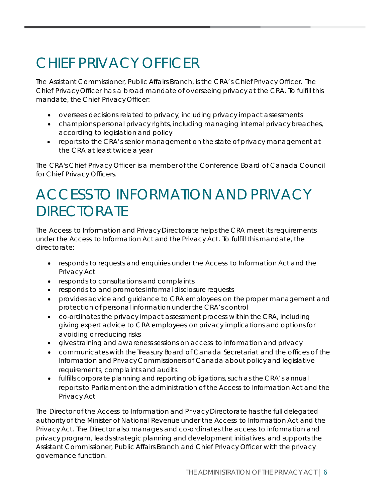# <span id="page-6-0"></span>CHIEF PRIVACY OFFICER

The Assistant Commissioner, Public Affairs Branch, is the CRA's Chief Privacy Officer. The Chief Privacy Officer has a broad mandate of overseeing privacy at the CRA. To fulfill this mandate, the Chief Privacy Officer:

- oversees decisions related to privacy, including privacy impact assessments
- champions personal privacy rights, including managing internal privacy breaches, according to legislation and policy
- reports to the CRA's senior management on the state of privacy management at the CRA at least twice a year

The CRA's Chief Privacy Officer is a member of the Conference Board of Canada Council for Chief Privacy Officers.

# <span id="page-6-1"></span>ACCESS TO INFORMATION AND PRIVACY **DIRECTORATE**

The Access to Information and Privacy Directorate helps the CRA meet its requirements under the Access to Information Act and the Privacy Act. To fulfill this mandate, the directorate:

- responds to requests and enquiries under the Access to Information Act and the Privacy Act
- responds to consultations and complaints
- responds to and promotes informal disclosure requests
- provides advice and guidance to CRA employees on the proper management and protection of personal information under the CRA's control
- co-ordinates the privacy impact assessment process within the CRA, including giving expert advice to CRA employees on privacy implications and options for avoiding or reducing risks
- gives training and awareness sessions on access to information and privacy
- communicates with the Treasury Board of Canada Secretariat and the offices of the Information and Privacy Commissioners of Canada about policy and legislative requirements, complaints and audits
- fulfills corporate planning and reporting obligations, such as the CRA's annual reports to Parliament on the administration of the Access to Information Act and the Privacy Act

The Director of the Access to Information and Privacy Directorate has the full delegated authority of the Minister of National Revenue under the Access to Information Act and the Privacy Act. The Director also manages and co-ordinates the access to information and privacy program, leads strategic planning and development initiatives, and supports the Assistant Commissioner, Public Affairs Branch and Chief Privacy Officer with the privacy governance function.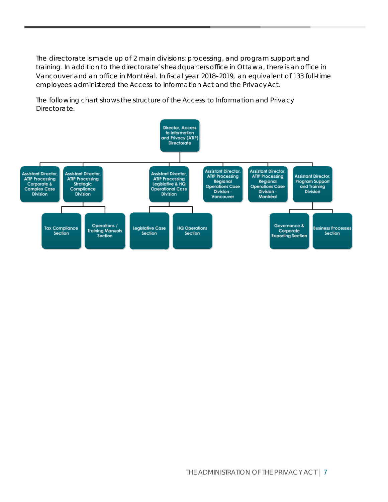The directorate is made up of 2 main divisions: processing, and program support and training. In addition to the directorate's headquarters office in Ottawa, there is an office in Vancouver and an office in Montréal. In fiscal year 2018–2019, an equivalent of 133 full-time employees administered the Access to Information Act and the Privacy Act.

The following chart shows the structure of the Access to Information and Privacy Directorate.

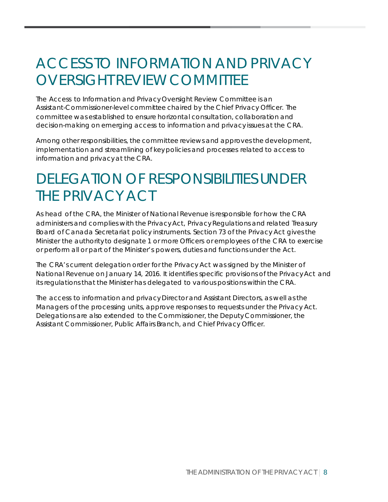# <span id="page-8-0"></span>ACCESS TO INFORMATION AND PRIVACY OVERSIGHT REVIEW COMMITTEE

The Access to Information and Privacy Oversight Review Committee is an Assistant-Commissioner-level committee chaired by the Chief Privacy Officer. The committee was established to ensure horizontal consultation, collaboration and decision-making on emerging access to information and privacy issues at the CRA.

Among other responsibilities, the committee reviews and approves the development, implementation and streamlining of key policies and processes related to access to information and privacy at the CRA.

# <span id="page-8-1"></span>DELEGATION OF RESPONSIBILITIES UNDER THE PRIVACY ACT

As head of the CRA, the Minister of National Revenue is responsible for how the CRA administers and complies with the Privacy Act, Privacy Regulations and related Treasury Board of Canada Secretariat policy instruments. Section 73 of the Privacy Act gives the Minister the authority to designate 1 or more Officers or employees of the CRA to exercise or perform all or part of the Minister's powers, duties and functions under the Act.

The CRA's current delegation order for the Privacy Act was signed by the Minister of National Revenue on January 14, 2016. It identifies specific provisions of the Privacy Act and its regulations that the Minister has delegated to various positions within the CRA.

The access to information and privacy Director and Assistant Directors, as well as the Managers of the processing units, approve responses to requests under the Privacy Act. Delegations are also extended to the Commissioner, the Deputy Commissioner, the Assistant Commissioner, Public Affairs Branch, and Chief Privacy Officer.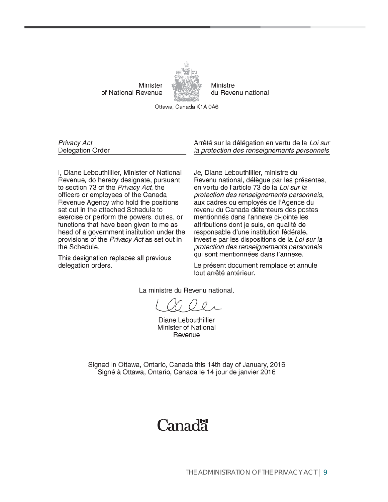Minister of National Revenue



Ministre du Revenu national

Ottawa, Canada K1A 0A6

Privacy Act Delegation Order

I, Diane Lebouthillier, Minister of National Revenue, do hereby designate, pursuant to section 73 of the Privacy Act, the officers or employees of the Canada Revenue Agency who hold the positions set out in the attached Schedule to exercise or perform the powers, duties, or functions that have been given to me as head of a government institution under the provisions of the Privacy Act as set out in the Schedule.

This designation replaces all previous delegation orders.

Arrêté sur la délégation en vertu de la Loi sur la protection des renseignements personnels

Je, Diane Lebouthillier, ministre du Revenu national, délègue par les présentes, en vertu de l'article 73 de la Loi sur la protection des renseignements personnels, aux cadres ou employés de l'Agence du revenu du Canada détenteurs des postes mentionnés dans l'annexe ci-jointe les attributions dont je suis, en qualité de responsable d'une institution fédérale, investie par les dispositions de la Loi sur la protection des renseignements personnels qui sont mentionnées dans l'annexe.

Le présent document remplace et annule tout arrêté antérieur.

La ministre du Revenu national.

Diane Lebouthillier Minister of National Revenue

Signed in Ottawa, Ontario, Canada this 14th day of January, 2016 Signé à Ottawa, Ontario, Canada le 14 jour de janvier 2016

### Canadä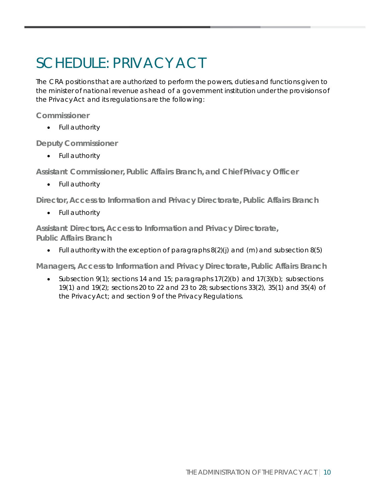# <span id="page-10-0"></span>SCHEDULE: PRIVACY ACT

The CRA positions that are authorized to perform the powers, duties and functions given to the minister of national revenue as head of a government institution under the provisions of the Privacy Act and its regulations are the following:

**Commissioner**

• Full authority

**Deputy Commissioner**

• Full authority

**Assistant Commissioner, Public Affairs Branch, and Chief Privacy Officer**

• Full authority

**Director, Access to Information and Privacy Directorate, Public Affairs Branch**

• Full authority

**Assistant Directors, Access to Information and Privacy Directorate, Public Affairs Branch**

• Full authority with the exception of paragraphs  $8(2)(j)$  and  $(m)$  and subsection  $8(5)$ 

**Managers, Access to Information and Privacy Directorate, Public Affairs Branch**

• Subsection 9(1); sections 14 and 15; paragraphs 17(2)(b) and 17(3)(b); subsections 19(1) and 19(2); sections 20 to 22 and 23 to 28; subsections 33(2), 35(1) and 35(4) of the Privacy Act; and section 9 of the Privacy Regulations.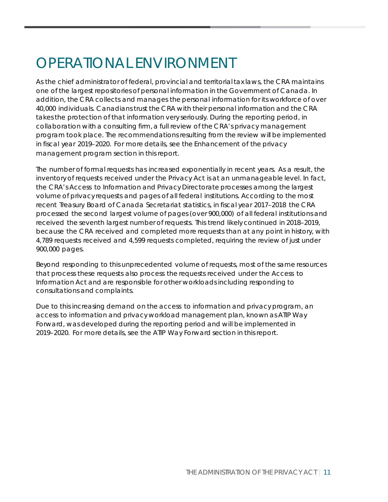# <span id="page-11-0"></span>OPERATIONAL ENVIRONMENT

As the chief administrator of federal, provincial and territorial tax laws, the CRA maintains one of the largest repositories of personal information in the Government of Canada. In addition, the CRA collects and manages the personal information for its workforce of over 40,000 individuals. Canadians trust the CRA with their personal information and the CRA takes the protection of that information very seriously. During the reporting period, in collaboration with a consulting firm, a full review of the CRA's privacy management program took place. The recommendations resulting from the review will be implemented in fiscal year 2019–2020. For more details, see the Enhancement of the privacy management program section in this report.

The number of formal requests has increased exponentially in recent years. As a result, the inventory of requests received under the Privacy Act is at an unmanageable level. In fact, the CRA's Access to Information and Privacy Directorate processes among the largest volume of privacy requests and pages of all federal institutions. According to the most recent Treasury Board of Canada Secretariat statistics, in fiscal year 2017–2018 the CRA processed the second largest volume of pages (over 900,000) of all federal institutions and received the seventh largest number of requests. This trend likely continued in 2018–2019, because the CRA received and completed more requests than at any point in history, with 4,789 requests received and 4,599 requests completed, requiring the review of just under 900,000 pages.

Beyond responding to this unprecedented volume of requests, most of the same resources that process these requests also process the requests received under the Access to Information Act and are responsible for other workloads including responding to consultations and complaints.

Due to this increasing demand on the access to information and privacy program, an access to information and privacy workload management plan, known as ATIP Way Forward, was developed during the reporting period and will be implemented in 2019–2020. For more details, see the ATIP Way Forward section in this report.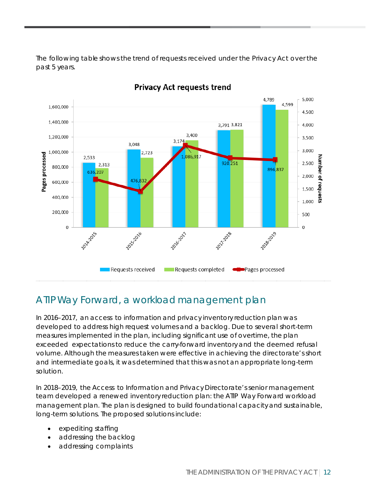The following table shows the trend of requests received under the Privacy Act over the past 5 years.



#### **Privacy Act requests trend**

#### ATIP Way Forward, a workload management plan

In 2016–2017, an access to information and privacy inventory reduction plan was developed to address high request volumes and a backlog. Due to several short-term measures implemented in the plan, including significant use of overtime, the plan exceeded expectations to reduce the carry-forward inventory and the deemed refusal volume. Although the measures taken were effective in achieving the directorate's short and intermediate goals, it was determined that this was not an appropriate long-term solution.

In 2018–2019, the Access to Information and Privacy Directorate's senior management team developed a renewed inventory reduction plan: the ATIP Way Forward workload management plan. The plan is designed to build foundational capacityand sustainable, long-term solutions. The proposed solutions include:

- expediting staffing
- addressing the backlog
- addressing complaints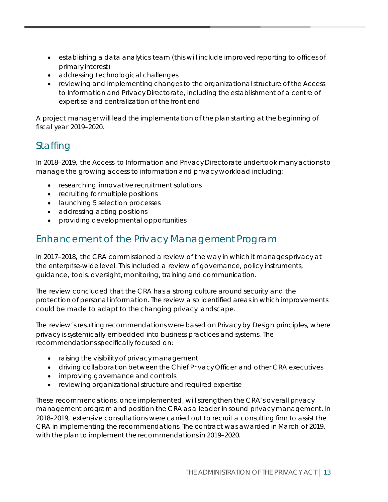- establishing a data analytics team (this will include improved reporting to offices of primary interest)
- addressing technological challenges
- reviewing and implementing changes to the organizational structure of the Access to Information and Privacy Directorate, including the establishment of a centre of expertise and centralization of the front end

A project manager will lead the implementation of the plan starting at the beginning of fiscal year 2019–2020.

### **Staffing**

In 2018–2019, the Access to Information and Privacy Directorate undertook many actions to manage the growing access to information and privacy workload including:

- researching innovative recruitment solutions
- recruiting for multiple positions
- launching 5 selection processes
- addressing acting positions
- providing developmental opportunities

#### Enhancement of the Privacy Management Program

In 2017–2018, the CRA commissioned a review of the way in which it manages privacy at the enterprise-wide level. This included a review of governance, policy instruments, guidance, tools, oversight, monitoring, training and communication.

The review concluded that the CRA has a strong culture around security and the protection of personal information. The review also identified areas in which improvements could be made to adapt to the changing privacy landscape.

The review's resulting recommendations were based on Privacy by Design principles, where privacy is systemically embedded into business practices and systems. The recommendations specifically focused on:

- raising the visibility of privacy management
- driving collaboration between the Chief Privacy Officer and other CRA executives
- improving governance and controls
- reviewing organizational structure and required expertise

These recommendations, once implemented, will strengthen the CRA's overall privacy management program and position the CRA as a leader in sound privacy management. In 2018–2019, extensive consultations were carried out to recruit a consulting firm to assist the CRA in implementing the recommendations. The contract was awarded in March of 2019, with the plan to implement the recommendations in 2019–2020.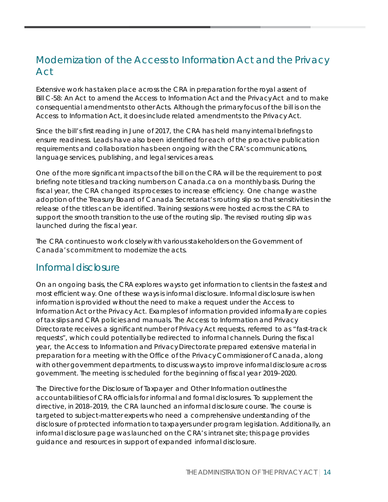#### Modernization of the Access to Information Act and the Privacy Act

Extensive work has taken place across the CRA in preparation for the royal assent of Bill C-58: An Act to amend the Access to Information Act and the Privacy Act and to make consequential amendments to other Acts. Although the primary focus of the bill is on the Access to Information Act, it does include related amendments to the Privacy Act.

Since the bill's first reading in June of 2017, the CRA has held many internal briefings to ensure readiness. Leads have also been identified for each of the proactive publication requirements and collaboration has been ongoing with the CRA's communications, language services, publishing, and legal services areas.

One of the more significant impacts of the bill on the CRA will be the requirement to post briefing note titles and tracking numbers on Canada.ca on a monthly basis. During the fiscal year, the CRA changed its processes to increase efficiency. One change was the adoption of the Treasury Board of Canada Secretariat's routing slip so that sensitivities in the release of the titles can be identified. Training sessions were hosted across the CRA to support the smooth transition to the use of the routing slip. The revised routing slip was launched during the fiscal year.

The CRA continues to work closely with various stakeholders on the Government of Canada's commitment to modernize the acts.

#### Informal disclosure

On an ongoing basis, the CRA explores ways to get information to clients in the fastest and most efficient way. One of these ways is informal disclosure. Informal disclosure is when information is provided without the need to make a request under the Access to Information Act or the Privacy Act. Examples of information provided informally are copies of tax slips and CRA policies and manuals. The Access to Information and Privacy Directorate receives a significant number of Privacy Act requests, referred to as "fast-track requests", which could potentially be redirected to informal channels. During the fiscal year, the Access to Information and Privacy Directorate prepared extensive material in preparation for a meeting with the Office of the Privacy Commissioner of Canada, along with other government departments, to discuss ways to improve informal disclosure across government. The meeting is scheduled for the beginning of fiscal year 2019–2020.

The Directive for the Disclosure of Taxpayer and Other Information outlines the accountabilities of CRA officials for informal and formal disclosures. To supplement the directive, in 2018–2019, the CRA launched an informal disclosure course. The course is targeted to subject-matter experts who need a comprehensive understanding of the disclosure of protected information to taxpayers under program legislation. Additionally, an informal disclosure page was launched on the CRA's intranet site; this page provides guidance and resources in support of expanded informal disclosure.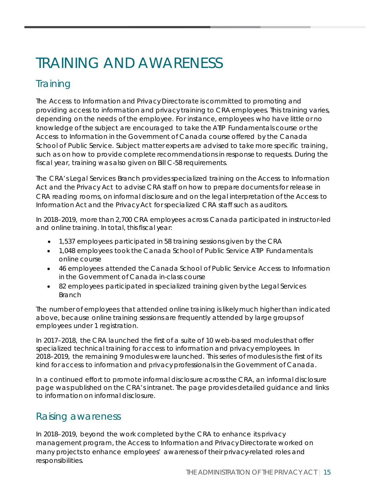# <span id="page-15-0"></span>TRAINING AND AWARENESS

### **Training**

The Access to Information and Privacy Directorate is committed to promoting and providing access to information and privacy training to CRA employees. This training varies, depending on the needs of the employee. For instance, employees who have little or no knowledge of the subject are encouraged to take the ATIP Fundamentals course or the Access to Information in the Government of Canada course offered by the Canada School of Public Service. Subject matter experts are advised to take more specific training, such as on how to provide complete recommendations in response to requests. During the fiscal year, training was also given on Bill C-58 requirements.

The CRA's Legal Services Branch provides specialized training on the Access to Information Act and the Privacy Act to advise CRA staff on how to prepare documents for release in CRA reading rooms, on informal disclosure and on the legal interpretation of the Access to Information Act and the Privacy Act for specialized CRA staff such as auditors.

In 2018–2019, more than 2,700 CRA employees across Canada participated in instructor-led and online training. In total, this fiscal year:

- 1,537 employees participated in 58 training sessions given by the CRA
- 1,048 employees took the Canada School of Public Service ATIP Fundamentals online course
- 46 employees attended the Canada School of Public Service Access to Information in the Government of Canada in-class course
- 82 employees participated in specialized training given by the Legal Services Branch

The number of employees that attended online training is likely much higher than indicated above, because online training sessions are frequently attended by large groups of employees under 1 registration.

In 2017–2018, the CRA launched the first of a suite of 10 web-based modules that offer specialized technical training for access to information and privacy employees. In 2018–2019, the remaining 9 modules were launched. This series of modules is the first of its kind for access to information and privacy professionals in the Government of Canada.

In a continued effort to promote informal disclosure across the CRA, an informal disclosure page was published on the CRA's intranet. The page provides detailed guidance and links to information on informal disclosure.

#### Raising awareness

In 2018–2019, beyond the work completed by the CRA to enhance its privacy management program, the Access to Information and Privacy Directorate worked on many projects to enhance employees' awareness of their privacy-related roles and responsibilities.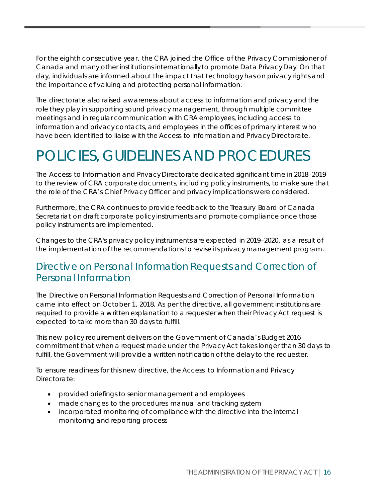For the eighth consecutive year, the CRA joined the Office of the Privacy Commissioner of Canada and many other institutions internationally to promote Data Privacy Day. On that day, individuals are informed about the impact that technology has on privacy rights and the importance of valuing and protecting personal information.

The directorate also raised awareness about access to information and privacy and the role they play in supporting sound privacy management, through multiple committee meetings and in regular communication with CRA employees, including access to information and privacy contacts, and employees in the offices of primary interest who have been identified to liaise with the Access to Information and Privacy Directorate.

# <span id="page-16-0"></span>POLICIES, GUIDELINES AND PROCEDURES

The Access to Information and Privacy Directorate dedicated significant time in 2018–2019 to the review of CRA corporate documents, including policy instruments, to make sure that the role of the CRA's Chief Privacy Officer and privacy implications were considered.

Furthermore, the CRA continues to provide feedback to the Treasury Board of Canada Secretariat on draft corporate policy instruments and promote compliance once those policy instruments are implemented.

Changes to the CRA's privacy policy instruments are expected in 2019–2020, as a result of the implementation of the recommendations to revise its privacy management program.

#### Directive on Personal Information Requests and Correction of Personal Information

The Directive on Personal Information Requests and Correction of Personal Information came into effect on October 1, 2018. As per the directive, all government institutions are required to provide a written explanation to a requester when their Privacy Act request is expected to take more than 30 days to fulfill.

This new policy requirement delivers on the Government of Canada's Budget 2016 commitment that when a request made under the Privacy Act takes longer than 30 days to fulfill, the Government will provide a written notification of the delay to the requester.

To ensure readiness for this new directive, the Access to Information and Privacy Directorate:

- provided briefings to senior management and employees
- made changes to the procedures manual and tracking system
- incorporated monitoring of compliance with the directive into the internal monitoring and reporting process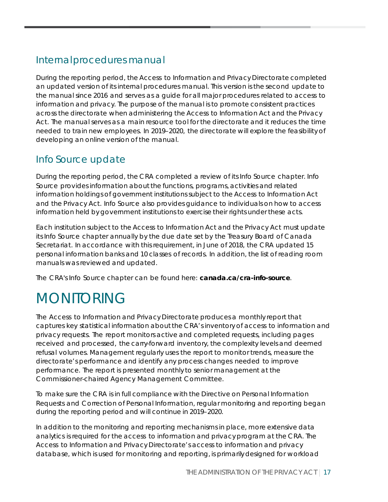### Internal procedures manual

During the reporting period, the Access to Information and Privacy Directorate completed an updated version of its internal procedures manual. This version is the second update to the manual since 2016 and serves as a guide for all major procedures related to access to information and privacy. The purpose of the manual is to promote consistent practices across the directorate when administering the Access to Information Act and the Privacy Act. The manual serves as a main resource tool for the directorate and it reduces the time needed to train new employees. In 2019–2020, the directorate will explore the feasibility of developing an online version of the manual.

### Info Source update

During the reporting period, the CRA completed a review of its Info Source chapter. Info Source provides information about the functions, programs, activities and related information holdings of government institutions subject to the Access to Information Act and the Privacy Act. Info Source also provides guidance to individuals on how to access information held by government institutions to exercise their rights under these acts.

Each institution subject to the Access to Information Act and the Privacy Act must update its Info Source chapter annually by the due date set by the Treasury Board of Canada Secretariat. In accordance with this requirement, in June of 2018, the CRA updated 15 personal information banks and 10 classes of records. In addition, the list of reading room manuals was reviewed and updated.

The CRA's Info Source chapter can be found here: **canada.ca/cra-info-source**.

# <span id="page-17-0"></span>MONITORING

The Access to Information and Privacy Directorate produces a monthly report that captures key statistical information about the CRA's inventory of access to information and privacy requests. The report monitors active and completed requests, including pages received and processed, the carry-forward inventory, the complexity levels and deemed refusal volumes. Management regularly uses the report to monitor trends, measure the directorate's performance and identify any process changes needed to improve performance. The report is presented monthly to senior management at the Commissioner-chaired Agency Management Committee.

To make sure the CRA is in full compliance with the Directive on Personal Information Requests and Correction of Personal Information, regular monitoring and reporting began during the reporting period and will continue in 2019–2020.

In addition to the monitoring and reporting mechanisms in place, more extensive data analytics is required for the access to information and privacy program at the CRA. The Access to Information and Privacy Directorate's access to information and privacy database, which is used for monitoring and reporting, is primarily designed for workload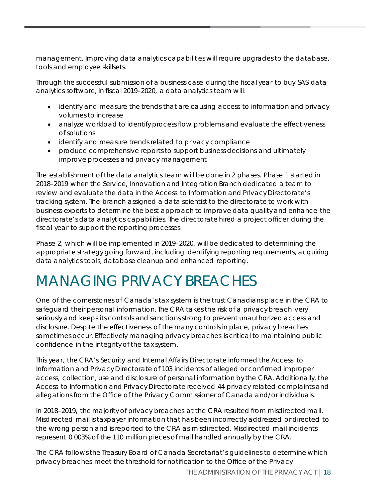management. Improving data analytics capabilities will require upgrades to the database, tools and employee skillsets.

Through the successful submission of a business case during the fiscal year to buy SAS data analytics software, in fiscal 2019–2020, a data analytics team will:

- identify and measure the trends that are causing access to information and privacy volumes to increase
- analyze workload to identify process flow problems and evaluate the effectiveness of solutions
- identify and measure trends related to privacy compliance
- produce comprehensive reports to support business decisions and ultimately improve processes and privacy management

The establishment of the data analytics team will be done in 2 phases. Phase 1 started in 2018–2019 when the Service, Innovation and Integration Branch dedicated a team to review and evaluate the data in the Access to Information and Privacy Directorate's tracking system. The branch assigned a data scientist to the directorate to work with business experts to determine the best approach to improve data quality and enhance the directorate's data analytics capabilities. The directorate hired a project officer during the fiscal year to support the reporting processes.

Phase 2, which will be implemented in 2019–2020, will be dedicated to determining the appropriate strategy going forward, including identifying reporting requirements, acquiring data analytics tools, database cleanup and enhanced reporting.

# <span id="page-18-0"></span>MANAGING PRIVACY BREACHES

One of the cornerstones of Canada's tax system is the trust Canadians place in the CRA to safeguard their personal information. The CRA takes the risk of a privacybreach very seriously and keeps its controls and sanctions strong to prevent unauthorized access and disclosure. Despite the effectiveness of the many controls in place, privacy breaches sometimes occur. Effectively managing privacy breaches is critical to maintaining public confidence in the integrity of the tax system.

This year, the CRA's Security and Internal Affairs Directorate informed the Access to Information and Privacy Directorate of 103 incidents of alleged or confirmed improper access, collection, use and disclosure of personal information by the CRA. Additionally, the Access to Information and Privacy Directorate received 44 privacy related complaints and allegations from the Office of the Privacy Commissioner of Canada and/or individuals.

In 2018–2019, the majority of privacy breaches at the CRA resulted from misdirected mail. Misdirected mail is taxpayer information that has been incorrectly addressed or directed to the wrong person and is reported to the CRA as misdirected. Misdirected mail incidents represent 0.003% of the 110 million pieces of mail handled annually by the CRA.

The CRA follows the Treasury Board of Canada Secretariat's guidelines to determine which privacy breaches meet the threshold for notification to the Office of the Privacy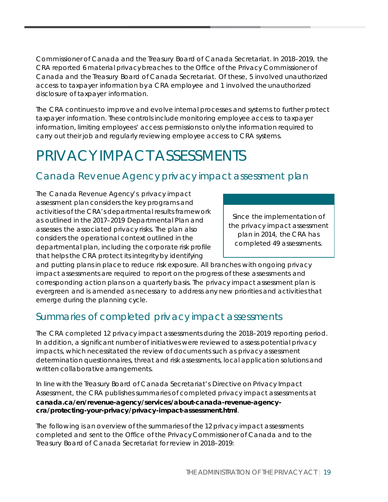Commissioner of Canada and the Treasury Board of Canada Secretariat. In 2018–2019, the CRA reported 6 material privacy breaches to the Office of the Privacy Commissioner of Canada and the Treasury Board of Canada Secretariat. Of these, 5 involved unauthorized access to taxpayer information by a CRA employee and 1 involved the unauthorized disclosure of taxpayer information.

The CRA continues to improve and evolve internal processes and systems to further protect taxpayer information. These controls include monitoring employee access to taxpayer information, limiting employees' access permissions to only the information required to carry out their job and regularly reviewing employee access to CRA systems.

# <span id="page-19-0"></span>PRIVACY IMPACT ASSESSMENTS

#### Canada Revenue Agency privacy impact assessment plan

The Canada Revenue Agency's privacy impact assessment plan considers the key programs and activities of the CRA's departmental results framework as outlined in the 2017–2019 Departmental Plan and assesses the associated privacy risks. The plan also considers the operational context outlined in the departmental plan, including the corporate risk profile that helps the CRA protect its integrity by identifying

Since the implementation of the privacy impact assessment plan in 2014, the CRA has completed 49 assessments.

and putting plans in place to reduce risk exposure. All branches with ongoing privacy impact assessments are required to report on the progress of these assessments and corresponding action plans on a quarterly basis. The privacy impact assessment plan is evergreen and is amended as necessary to address any new priorities and activities that emerge during the planning cycle.

#### Summaries of completed privacy impact assessments

The CRA completed 12 privacy impact assessments during the 2018–2019 reporting period. In addition, a significant number of initiatives were reviewed to assess potential privacy impacts, which necessitated the review of documents such as privacy assessment determination questionnaires, threat and risk assessments, local application solutions and written collaborative arrangements.

In line with the Treasury Board of Canada Secretariat's Directive on Privacy Impact Assessment, the CRA publishes summaries of completed privacy impact assessments at **canada.ca/en/revenue-agency/services/about-canada-revenue-agencycra/protecting-your-privacy/privacy-impact-assessment.html**.

The following is an overview of the summaries of the 12 privacy impact assessments completed and sent to the Office of the Privacy Commissioner of Canada and to the Treasury Board of Canada Secretariat for review in 2018–2019: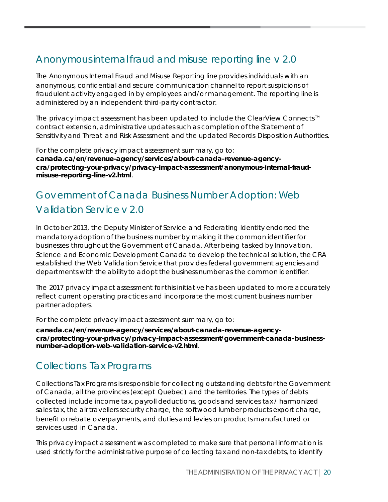### Anonymous internal fraud and misuse reporting line v 2.0

The Anonymous Internal Fraud and Misuse Reporting line provides individuals with an anonymous, confidential and secure communication channel to report suspicions of fraudulent activity engaged in by employees and/or management. The reporting line is administered by an independent third-party contractor.

The privacy impact assessment has been updated to include the ClearView Connects™ contract extension, administrative updates such as completion of the Statement of Sensitivityand Threat and Risk Assessment and the updated Records Disposition Authorities.

For the complete privacy impact assessment summary, go to: **canada.ca/en/revenue-agency/services/about-canada-revenue-agencycra/protecting-your-privacy/privacy-impact-assessment/anonymous-internal-fraudmisuse-reporting-line-v2.html**.

### Government of Canada Business Number Adoption: Web Validation Service v 2.0

In October 2013, the Deputy Minister of Service and Federating Identity endorsed the mandatory adoption of the business number by making it the common identifier for businesses throughout the Government of Canada. After being tasked by Innovation, Science and Economic Development Canada to develop the technical solution, the CRA established the Web Validation Service that provides federal government agencies and departments with the ability to adopt the business number as the common identifier.

The 2017 privacy impact assessment for this initiative has been updated to more accurately reflect current operating practices and incorporate the most current business number partner adopters.

For the complete privacy impact assessment summary, go to:

**canada.ca/en/revenue-agency/services/about-canada-revenue-agencycra/protecting-your-privacy/privacy-impact-assessment/government-canada-businessnumber-adoption-web-validation-service-v2.html**.

#### Collections Tax Programs

Collections Tax Programs is responsible for collecting outstanding debts for the Government of Canada, all the provinces (except Quebec) and the territories. The types of debts collected include income tax, payroll deductions, goods and services tax / harmonized sales tax, the air travellers security charge, the softwood lumber products export charge, benefit or rebate overpayments, and duties and levies on products manufactured or services used in Canada.

This privacy impact assessment was completed to make sure that personal information is used strictly for the administrative purpose of collecting tax and non-tax debts, to identify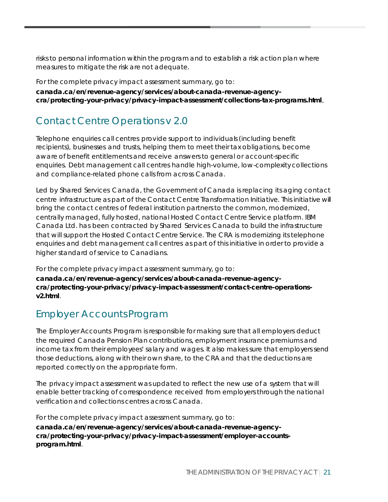risks to personal information within the program and to establish a risk action plan where measures to mitigate the risk are not adequate.

For the complete privacy impact assessment summary, go to:

**canada.ca/en/revenue-agency/services/about-canada-revenue-agencycra/protecting-your-privacy/privacy-impact-assessment/collections-tax-programs.html**.

### Contact Centre Operations v 2.0

Telephone enquiries call centres provide support to individuals (including benefit recipients), businesses and trusts, helping them to meet their tax obligations, become aware of benefit entitlements and receive answers to general or account-specific enquiries. Debt management call centres handle high-volume, low-complexity collections and compliance-related phone calls from across Canada.

Led by Shared Services Canada, the Government of Canada is replacing its aging contact centre infrastructure as part of the Contact Centre Transformation Initiative. This initiative will bring the contact centres of federal institution partners to the common, modernized, centrally managed, fully hosted, national Hosted Contact Centre Service platform. IBM Canada Ltd. has been contracted by Shared Services Canada to build the infrastructure that will support the Hosted Contact Centre Service. The CRA is modernizing its telephone enquiries and debt management call centres as part of this initiative in order to provide a higher standard of service to Canadians.

For the complete privacy impact assessment summary, go to: **canada.ca/en/revenue-agency/services/about-canada-revenue-agencycra/protecting-your-privacy/privacy-impact-assessment/contact-centre-operationsv2.html**.

### Employer Accounts Program

The Employer Accounts Program is responsible for making sure that all employers deduct the required Canada Pension Plan contributions, employment insurance premiums and income tax from their employees' salary and wages. It also makes sure that employers send those deductions, along with their own share, to the CRA and that the deductions are reported correctly on the appropriate form.

The privacy impact assessment was updated to reflect the new use of a system that will enable better tracking of correspondence received from employers through the national verification and collections centres across Canada.

For the complete privacy impact assessment summary, go to:

**canada.ca/en/revenue-agency/services/about-canada-revenue-agencycra/protecting-your-privacy/privacy-impact-assessment/employer-accountsprogram.html**.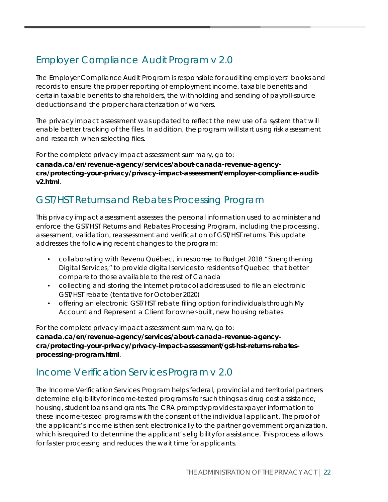### Employer Compliance Audit Program v 2.0

The Employer Compliance Audit Program is responsible for auditing employers' books and records to ensure the proper reporting of employment income, taxable benefits and certain taxable benefits to shareholders, the withholding and sending of payroll-source deductions and the proper characterization of workers.

The privacy impact assessment was updated to reflect the new use of a system that will enable better tracking of the files. In addition, the program will start using risk assessment and research when selecting files.

For the complete privacy impact assessment summary, go to:

**canada.ca/en/revenue-agency/services/about-canada-revenue-agencycra/protecting-your-privacy/privacy-impact-assessment/employer-compliance-auditv2.html**.

#### GST/HST Returns and Rebates Processing Program

This privacy impact assessment assesses the personal information used to administer and enforce the GST/HST Returns and Rebates Processing Program, including the processing, assessment, validation, reassessment and verification of GST/HST returns. This update addresses the following recent changes to the program:

- collaborating with Revenu Québec, in response to Budget 2018 "Strengthening Digital Services," to provide digital services to residents of Quebec that better compare to those available to the rest of Canada
- collecting and storing the Internet protocol address used to file an electronic GST/HST rebate (tentative for October 2020)
- offering an electronic GST/HST rebate filing option for individuals through My Account and Represent a Client for owner-built, new housing rebates

For the complete privacy impact assessment summary, go to: **canada.ca/en/revenue-agency/services/about-canada-revenue-agencycra/protecting-your-privacy/privacy-impact-assessment/gst-hst-returns-rebatesprocessing-program.html**.

#### Income Verification Services Program v 2.0

The Income Verification Services Program helps federal, provincial and territorial partners determine eligibility for income-tested programs for such things as drug cost assistance, housing, student loans and grants. The CRA promptly provides taxpayer information to these income-tested programs with the consent of the individual applicant. The proof of the applicant's income is then sent electronically to the partner government organization, which is required to determine the applicant's eligibility for assistance. This process allows for faster processing and reduces the wait time for applicants.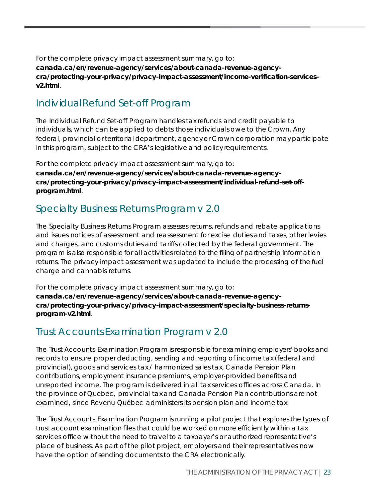For the complete privacy impact assessment summary, go to: **canada.ca/en/revenue-agency/services/about-canada-revenue-agencycra/protecting-your-privacy/privacy-impact-assessment/income-verification-servicesv2.html**.

#### Individual Refund Set-off Program

The Individual Refund Set-off Program handles tax refunds and credit payable to individuals, which can be applied to debts those individuals owe to the Crown. Any federal, provincial or territorial department, agency or Crown corporation may participate in this program, subject to the CRA's legislative and policy requirements.

For the complete privacy impact assessment summary, go to: **[canada.ca/en/revenue-agency/services/about-canada-revenue-agency](https://www.canada.ca/en/revenue-agency/services/about-canada-revenue-agency-cra/protecting-your-privacy/privacy-impact-assessment/individual-refund-set-off-program.html)[cra/protecting-your-privacy/privacy-impact-assessment/individual-refund-set-off](https://www.canada.ca/en/revenue-agency/services/about-canada-revenue-agency-cra/protecting-your-privacy/privacy-impact-assessment/individual-refund-set-off-program.html)[program.html](https://www.canada.ca/en/revenue-agency/services/about-canada-revenue-agency-cra/protecting-your-privacy/privacy-impact-assessment/individual-refund-set-off-program.html)**.

### Specialty Business Returns Program v 2.0

The Specialty Business Returns Program assesses returns, refunds and rebate applications and issues notices of assessment and reassessment for excise duties and taxes, other levies and charges, and customs duties and tariffs collected by the federal government. The program is also responsible for all activities related to the filing of partnership information returns. The privacy impact assessment was updated to include the processing of the fuel charge and cannabis returns.

For the complete privacy impact assessment summary, go to: **canada.ca/en/revenue-agency/services/about-canada-revenue-agencycra/protecting-your-privacy/privacy-impact-assessment/specialty-business-returnsprogram-v2.html**.

### Trust Accounts Examination Program v 2.0

The Trust Accounts Examination Program is responsible for examining employers' books and records to ensure proper deducting, sending and reporting of income tax (federal and provincial), goods and services tax / harmonized sales tax, Canada Pension Plan contributions, employment insurance premiums, employer-provided benefits and unreported income. The program is delivered in all tax services offices across Canada. In the province of Quebec, provincial tax and Canada Pension Plan contributions are not examined, since Revenu Québec administers its pension plan and income tax.

The Trust Accounts Examination Program is running a pilot project that explores the types of trust account examination files that could be worked on more efficiently within a tax services office without the need to travel to a taxpayer's or authorized representative's place of business. As part of the pilot project, employers and their representatives now have the option of sending documents to the CRA electronically.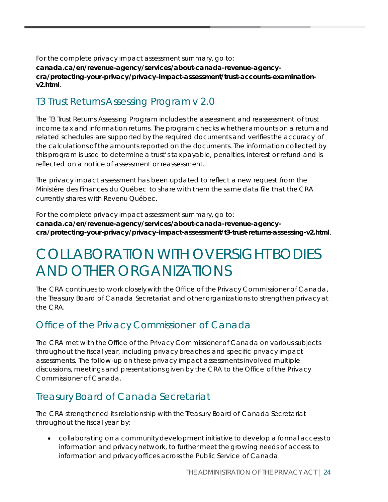For the complete privacy impact assessment summary, go to: **canada.ca/en/revenue-agency/services/about-canada-revenue-agencycra/protecting-your-privacy/privacy-impact-assessment/trust-accounts-examinationv2.html**.

### T3 Trust Returns Assessing Program v 2.0

The T3 Trust Returns Assessing Program includes the assessment and reassessment of trust income tax and information returns. The program checks whether amounts on a return and related schedules are supported by the required documents and verifies the accuracy of the calculations of the amounts reported on the documents. The information collected by this program is used to determine a trust's tax payable, penalties, interest or refund and is reflected on a notice of assessment or reassessment.

The privacy impact assessment has been updated to reflect a new request from the Ministère des Finances du Québec to share with them the same data file that the CRA currently shares with Revenu Québec.

For the complete privacy impact assessment summary, go to: **canada.ca/en/revenue-agency/services/about-canada-revenue-agencycra/protecting-your-privacy/privacy-impact-assessment/t3-trust-returns-assessing-v2.html**.

## <span id="page-24-0"></span>COLLABORATION WITH OVERSIGHT BODIES AND OTHER ORGANIZATIONS

The CRA continues to work closely with the Office of the Privacy Commissioner of Canada, the Treasury Board of Canada Secretariat and other organizations to strengthen privacy at the CRA.

#### Office of the Privacy Commissioner of Canada

The CRA met with the Office of the Privacy Commissioner of Canada on various subjects throughout the fiscal year, including privacy breaches and specific privacy impact assessments. The follow-up on these privacy impact assessments involved multiple discussions, meetings and presentations given by the CRA to the Office of the Privacy Commissioner of Canada.

#### Treasury Board of Canada Secretariat

The CRA strengthened its relationship with the Treasury Board of Canada Secretariat throughout the fiscal year by:

• collaborating on a community development initiative to develop a formal access to information and privacy network, to further meet the growing needs of access to information and privacy offices across the Public Service of Canada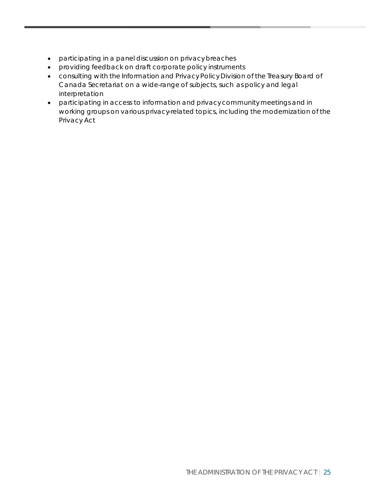- participating in a panel discussion on privacy breaches
- providing feedback on draft corporate policy instruments
- consulting with the Information and Privacy Policy Division of the Treasury Board of Canada Secretariat on a wide-range of subjects, such as policy and legal interpretation
- participating in access to information and privacy community meetings and in working groups on various privacy-related topics, including the modernization of the Privacy Act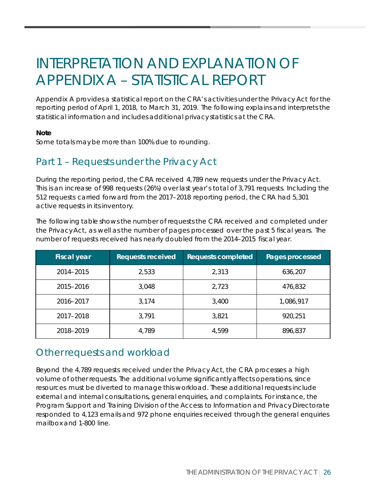# <span id="page-26-0"></span>INTERPRETATION AND EXPLANATION OF APPENDIX A – STATISTICAL REPORT

Appendix A provides a statistical report on the CRA's activities under the Privacy Act for the reporting period of April 1, 2018, to March 31, 2019. The following explains and interprets the statistical information and includes additional privacy statistics at the CRA.

#### **Note**

Some totals may be more than 100% due to rounding.

#### Part 1 – Requests under the Privacy Act

During the reporting period, the CRA received 4,789 new requests under the Privacy Act. This is an increase of 998 requests (26%) over last year's total of 3,791 requests. Including the 512 requests carried forward from the 2017–2018 reporting period, the CRA had 5,301 active requests in its inventory.

The following table shows the number of requests the CRA received and completed under the Privacy Act, as well as the number of pages processed over the past 5 fiscal years. The number of requests received has nearly doubled from the 2014–2015 fiscal year.

| <b>Fiscal year</b> | <b>Requests received</b> | <b>Requests completed</b> | Pages processed |
|--------------------|--------------------------|---------------------------|-----------------|
| 2014-2015          | 2,533                    | 2,313                     | 636,207         |
| 2015-2016          | 3,048                    | 2,723                     | 476,832         |
| 2016-2017          | 3,174                    | 3,400                     | 1,086,917       |
| 2017-2018          | 3,791                    | 3,821                     | 920,251         |
| 2018-2019          | 4,789                    | 4,599                     | 896,837         |

#### Other requests and workload

Beyond the 4,789 requests received under the Privacy Act, the CRA processes a high volume of other requests. The additional volume significantlyaffects operations, since resources must be diverted to manage this workload. These additional requests include external and internal consultations, general enquiries, and complaints. For instance, the Program Support and Training Division of the Access to Information and Privacy Directorate responded to 4,123 emails and 972 phone enquiries received through the general enquiries mailbox and 1-800 line.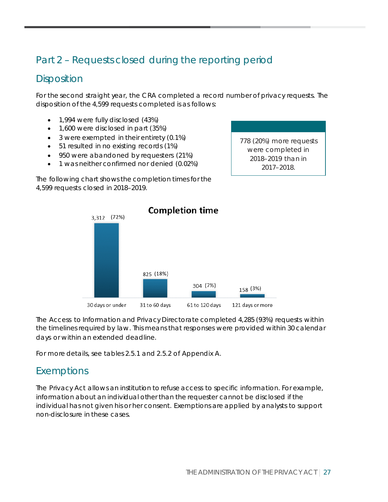### Part 2 – Requests closed during the reporting period

#### **Disposition**

For the second straight year, the CRA completed a record number of privacy requests. The disposition of the 4,599 requests completed is as follows:

- 1,994 were fully disclosed (43%)
- 1,600 were disclosed in part (35%)
- 3 were exempted in their entirety (0.1%)
- 51 resulted in no existing records (1%)
- 950 were abandoned by requesters (21%)
- 1 was neither confirmed nor denied (0.02%)

The following chart shows the completion times for the 4,599 requests closed in 2018–2019.



The Access to Information and Privacy Directorate completed 4,285 (93%) requests within the timelines required by law. This means that responses were provided within 30 calendar days or within an extended deadline.

For more details, see tables 2.5.1 and 2.5.2 of Appendix A.

#### Exemptions

The Privacy Act allows an institution to refuse access to specific information. For example, information about an individual other than the requester cannot be disclosed if the individual has not given his or her consent. Exemptions are applied by analysts to support non-disclosure in these cases.

778 (20%) more requests were completed in 2018–2019 than in 2017–2018.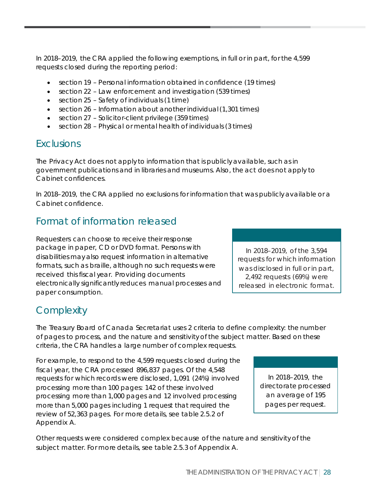In 2018–2019, the CRA applied the following exemptions, in full or in part, for the 4,599 requests closed during the reporting period:

- section 19 Personal information obtained in confidence (19 times)
- section 22 Law enforcement and investigation (539 times)
- section 25 Safety of individuals (1 time)
- section 26 Information about another individual (1,301 times)
- section 27 Solicitor-client privilege (359 times)
- section 28 Physical or mental health of individuals (3 times)

#### Exclusions

The Privacy Act does not apply to information that is publicly available, such as in government publications and in libraries and museums. Also, the act does not apply to Cabinet confidences.

In 2018–2019, the CRA applied no exclusions for information that was publicly available or a Cabinet confidence.

#### Format of information released

Requesters can choose to receive their response package in paper, CD or DVD format. Persons with disabilities may also request information in alternative formats, such as braille, although no such requests were received this fiscal year. Providing documents electronically significantly reduces manual processes and paper consumption.

In 2018–2019, of the 3,594 requests for which information was disclosed in full or in part, 2,492 requests (69%) were released in electronic format.

#### **Complexity**

The Treasury Board of Canada Secretariat uses 2 criteria to define complexity: the number of pages to process, and the nature and sensitivity of the subject matter. Based on these criteria, the CRA handles a large number of complex requests.

For example, to respond to the 4,599 requests closed during the fiscal year, the CRA processed 896,837 pages. Of the 4,548 requests for which records were disclosed, 1,091 (24%) involved processing more than 100 pages: 142 of these involved processing more than 1,000 pages and 12 involved processing more than 5,000 pages including 1 request that required the review of 52,363 pages. For more details, see table 2.5.2 of Appendix A.

In 2018–2019, the directorate processed an average of 195 pages per request.

Other requests were considered complex because of the nature and sensitivity of the subject matter. For more details, see table 2.5.3 of Appendix A.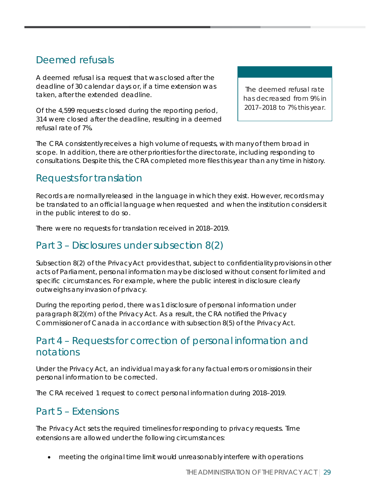### Deemed refusals

A deemed refusal is a request that was closed after the deadline of 30 calendar days or, if a time extension was taken, after the extended deadline.

Of the 4,599 requests closed during the reporting period, 314 were closed after the deadline, resulting in a deemed refusal rate of 7%.

The deemed refusal rate has decreased from 9% in 2017–2018 to 7% this year.

The CRA consistently receives a high volume of requests, with many of them broad in scope. In addition, there are other priorities for the directorate, including responding to consultations. Despite this, the CRA completed more files this year than any time in history.

### Requests for translation

Records are normally released in the language in which they exist. However, records may be translated to an official language when requested and when the institution considers it in the public interest to do so.

There were no requests for translation received in 2018–2019.

#### Part 3 – Disclosures under subsection 8(2)

Subsection 8(2) of the Privacy Act provides that, subject to confidentiality provisions in other acts of Parliament, personal information may be disclosed without consent for limited and specific circumstances. For example, where the public interest in disclosure clearly outweighs any invasion of privacy.

During the reporting period, there was 1 disclosure of personal information under paragraph 8(2)(m) of the Privacy Act. As a result, the CRA notified the Privacy Commissioner of Canada in accordance with subsection 8(5) of the Privacy Act.

#### Part 4 – Requests for correction of personal information and notations

Under the Privacy Act, an individual may ask for any factual errors or omissions in their personal information to be corrected.

The CRA received 1 request to correct personal information during 2018–2019.

#### Part 5 – Extensions

The Privacy Act sets the required timelines for responding to privacy requests. Time extensions are allowed under the following circumstances:

• meeting the original time limit would unreasonably interfere with operations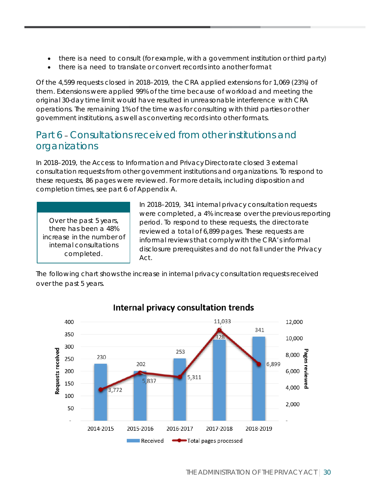- there is a need to consult (for example, with a government institution or third party)
- there is a need to translate or convert records into another format

Of the 4,599 requests closed in 2018–2019, the CRA applied extensions for 1,069 (23%) of them. Extensions were applied 99% of the time because of workload and meeting the original 30-day time limit would have resulted in unreasonable interference with CRA operations. The remaining 1% of the time was for consulting with third parties or other government institutions, as well as converting records into other formats.

#### Part 6 **–** Consultations received from other institutions and organizations

In 2018–2019, the Access to Information and Privacy Directorate closed 3 external consultation requests from other government institutions and organizations. To respond to these requests, 86 pages were reviewed. For more details, including disposition and completion times, see part 6 of Appendix A.

Over the past 5 years, there has been a 48% increase in the number of internal consultations completed.

In 2018–2019, 341 internal privacy consultation requests were completed, a 4% increase over the previous reporting period. To respond to these requests, the directorate reviewed a total of 6,899 pages. These requests are informal reviews that comply with the CRA's informal disclosure prerequisites and do not fall under the Privacy Act.

The following chart shows the increase in internal privacy consultation requests received over the past 5 years.



#### Internal privacy consultation trends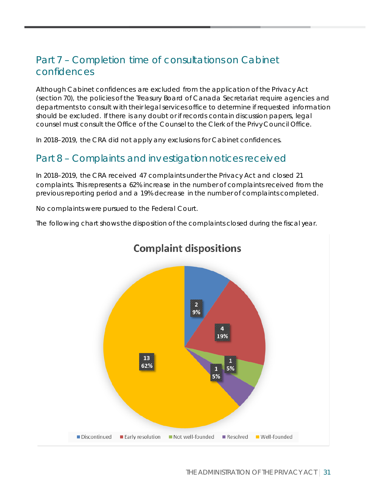### Part 7 – Completion time of consultations on Cabinet confidences

Although Cabinet confidences are excluded from the application of the Privacy Act (section 70), the policies of the Treasury Board of Canada Secretariat require agencies and departments to consult with their legal services office to determine if requested information should be excluded. If there is any doubt or if records contain discussion papers, legal counsel must consult the Office of the Counsel to the Clerk of the Privy Council Office.

In 2018–2019, the CRA did not apply any exclusions for Cabinet confidences.

#### Part 8 – Complaints and investigation notices received

In 2018–2019, the CRA received 47 complaints under the Privacy Act and closed 21 complaints. This represents a 62% increase in the number of complaints received from the previous reporting period and a 19% decrease in the number of complaints completed.

No complaints were pursued to the Federal Court.

The following chart shows the disposition of the complaints closed during the fiscal year.

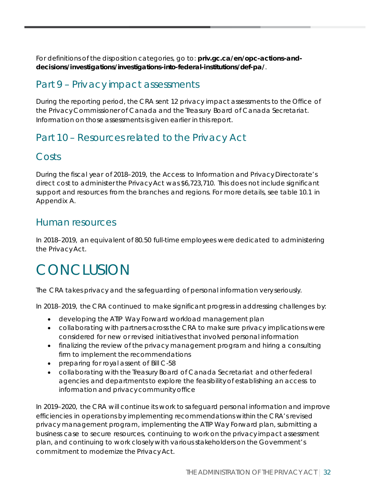For definitions of the disposition categories, go to: **[priv.gc.ca/en/opc-actions-and](https://www.priv.gc.ca/en/opc-actions-and-decisions/investigations/investigations-into-federal-institutions/def-pa/)[decisions/investigations/investigations-into-federal-institutions/def-pa/](https://www.priv.gc.ca/en/opc-actions-and-decisions/investigations/investigations-into-federal-institutions/def-pa/)**.

#### Part 9 – Privacy impact assessments

During the reporting period, the CRA sent 12 privacy impact assessments to the Office of the Privacy Commissioner of Canada and the Treasury Board of Canada Secretariat. Information on those assessments is given earlier in this report.

### Part 10 – Resources related to the Privacy Act

#### Costs

During the fiscal year of 2018–2019, the Access to Information and Privacy Directorate's direct cost to administer the Privacy Act was \$6,723,710. This does not include significant support and resources from the branches and regions. For more details, see table 10.1 in Appendix A.

#### Human resources

In 2018–2019, an equivalent of 80.50 full-time employees were dedicated to administering the Privacy Act.

# <span id="page-32-0"></span>**CONCLUSION**

The CRA takes privacy and the safeguarding of personal information very seriously.

In 2018–2019, the CRA continued to make significant progress in addressing challenges by:

- developing the ATIP Way Forward workload management plan
- collaborating with partners across the CRA to make sure privacy implications were considered for new or revised initiatives that involved personal information
- finalizing the review of the privacy management program and hiring a consulting firm to implement the recommendations
- preparing for royal assent of Bill C-58
- collaborating with the Treasury Board of Canada Secretariat and other federal agencies and departments to explore the feasibility of establishing an access to information and privacy community office

In 2019–2020, the CRA will continue its work to safeguard personal information and improve efficiencies in operations by implementing recommendations within the CRA's revised privacy management program, implementing the ATIP Way Forward plan, submitting a business case to secure resources, continuing to work on the privacy impact assessment plan, and continuing to work closely with various stakeholders on the Government's commitment to modernize the Privacy Act.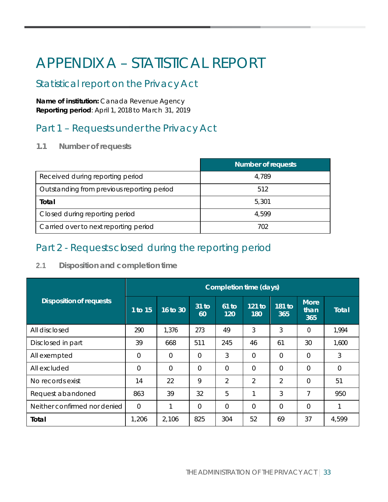# <span id="page-33-0"></span>APPENDIX A – STATISTICAL REPORT

### Statistical report on the Privacy Act

**Name of institution:** Canada Revenue Agency **Reporting period**: April 1, 2018 to March 31, 2019

### Part 1 – Requests under the Privacy Act

**1.1 Number of requests**

|                                            | <b>Number of requests</b> |
|--------------------------------------------|---------------------------|
| Received during reporting period           | 4,789                     |
| Outstanding from previous reporting period | 512                       |
| Total                                      | 5,301                     |
| Closed during reporting period             | 4.599                     |
| Carried over to next reporting period      | 702                       |

### Part 2 - Requests closed during the reporting period

**2.1 Disposition and completion time**

|                                | Completion time (days) |                |                        |                |                |                |                            |              |
|--------------------------------|------------------------|----------------|------------------------|----------------|----------------|----------------|----------------------------|--------------|
| <b>Disposition of requests</b> | 1 to 15                | 16 to 30       | 31 <sub>to</sub><br>60 | $61$ to<br>120 | 121 to<br>180  | 181 to<br>365  | <b>More</b><br>than<br>365 | <b>Total</b> |
| All disclosed                  | 290                    | 1,376          | 273                    | 49             | 3              | 3              | $\Omega$                   | 1,994        |
| Disclosed in part              | 39                     | 668            | 511                    | 245            | 46             | 61             | 30                         | 1,600        |
| All exempted                   | $\overline{0}$         | $\Omega$       | $\overline{0}$         | 3              | $\Omega$       | $\Omega$       | $\Omega$                   | 3            |
| All excluded                   | $\overline{0}$         | $\overline{0}$ | $\overline{0}$         | $\overline{0}$ | $\Omega$       | $\Omega$       | 0                          | $\Omega$     |
| No records exist               | 14                     | 22             | 9                      | $\overline{2}$ | 2              | $\overline{2}$ | $\Omega$                   | 51           |
| Request abandoned              | 863                    | 39             | 32                     | 5              | ⊣              | 3              | 7                          | 950          |
| Neither confirmed nor denied   | $\overline{0}$         | 1              | $\Omega$               | $\overline{0}$ | $\overline{0}$ | $\overline{0}$ | 0                          |              |
| Total                          | 1,206                  | 2,106          | 825                    | 304            | 52             | 69             | 37                         | 4,599        |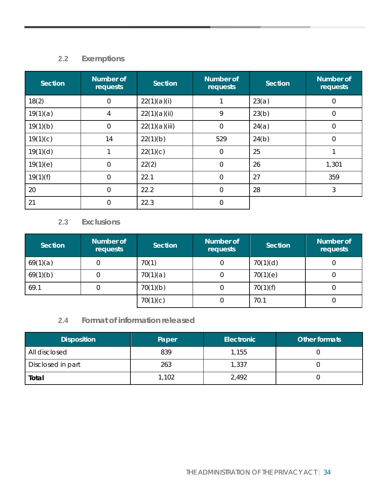#### **2.2 Exemptions**

| Section  | Number of<br>requests | <b>Section</b> | <b>Number of</b><br>requests | <b>Section</b> | Number of<br>requests |
|----------|-----------------------|----------------|------------------------------|----------------|-----------------------|
| 18(2)    | $\overline{0}$        | 22(1)(a)(i)    |                              | 23(a)          | $\overline{0}$        |
| 19(1)(a) | $\overline{4}$        | 22(1)(a)(ii)   | 9                            | 23(b)          | $\overline{0}$        |
| 19(1)(b) | $\overline{0}$        | 22(1)(a)(iii)  | $\overline{0}$               | 24(a)          | $\overline{0}$        |
| 19(1)(c) | 14                    | 22(1)(b)       | 529                          | 24(b)          | $\Omega$              |
| 19(1)(d) | 1                     | 22(1)(c)       | $\overline{0}$               | 25             |                       |
| 19(1)(e) | $\overline{0}$        | 22(2)          | $\Omega$                     | 26             | 1,301                 |
| 19(1)(f) | 0                     | 22.1           | $\overline{0}$               | 27             | 359                   |
| 20       | $\overline{0}$        | 22.2           | $\overline{0}$               | 28             | 3                     |
| 21       | $\overline{0}$        | 22.3           | $\overline{0}$               |                |                       |

#### **2.3 Exclusions**

| <b>Section</b> | Number of<br>requests | Section  | <b>Number of</b><br>requests | Section  | <b>Number of</b><br>requests |
|----------------|-----------------------|----------|------------------------------|----------|------------------------------|
| 69(1)(a)       |                       | 70(1)    |                              | 70(1)(d) |                              |
| 69(1)(b)       |                       | 70(1)(a) |                              | 70(1)(e) |                              |
| 69.1           |                       | 70(1)(b) |                              | 70(1)(f) |                              |
|                |                       | 70(1)(c) |                              | 70.1     |                              |

#### **2.4 Format of information released**

| <b>Disposition</b> | Paper | Electronic | Other formats |
|--------------------|-------|------------|---------------|
| All disclosed      | 839   | 1,155      |               |
| Disclosed in part  | 263   | 1,337      |               |
| Total              | 1,102 | 2,492      |               |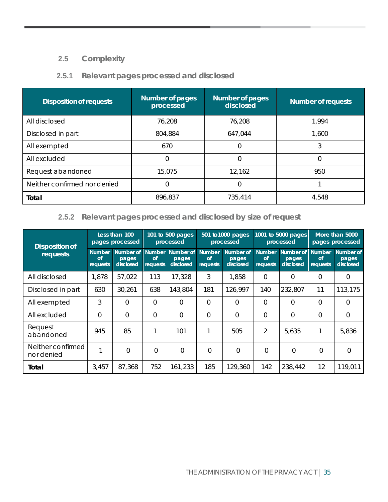#### **2.5 Complexity**

#### **2.5.1 Relevant pages processed and disclosed**

| <b>Disposition of requests</b> | Number of pages<br>processed | Number of pages<br>disclosed | <b>Number of requests</b> |
|--------------------------------|------------------------------|------------------------------|---------------------------|
| All disclosed                  | 76,208                       | 76,208                       | 1,994                     |
| Disclosed in part              | 804,884                      | 647,044                      | 1,600                     |
| All exempted                   | 670                          |                              | 3                         |
| All excluded                   | 0                            |                              |                           |
| Request abandoned              | 15,075                       | 12,162                       | 950                       |
| Neither confirmed nor denied   | 0                            | 0                            |                           |
| Total                          | 896,837                      | 735,414                      | 4,548                     |

#### **2.5.2 Relevant pages processed and disclosed by size of request**

| Disposition of                  | Less than 100<br>pages processed      |                                 |                                 | 101 to 500 pages<br>processed   |                                 | 1001 to 5000 pages<br>501 to 1000 pages<br>processed<br>processed |                                        | More than 5000<br>pages processed |                                        |                                 |
|---------------------------------|---------------------------------------|---------------------------------|---------------------------------|---------------------------------|---------------------------------|-------------------------------------------------------------------|----------------------------------------|-----------------------------------|----------------------------------------|---------------------------------|
| requests                        | <b>Number</b><br>$\sigma$<br>requests | Number of<br>pages<br>disclosed | <b>Number</b><br>of<br>requests | Number of<br>pages<br>disclosed | <b>Number</b><br>of<br>requests | Number of<br>pages<br>disclosed                                   | <b>Number</b><br><b>of</b><br>requests | Number of<br>pages<br>disclosed   | <b>Number</b><br><b>of</b><br>requests | Number of<br>pages<br>disclosed |
| All disclosed                   | 1,878                                 | 57,022                          | 113                             | 17,328                          | 3                               | 1,858                                                             | 0                                      | 0                                 | 0                                      | $\Omega$                        |
| Disclosed in part               | 630                                   | 30,261                          | 638                             | 143,804                         | 181                             | 126,997                                                           | 140                                    | 232,807                           | 11                                     | 113,175                         |
| All exempted                    | 3                                     | $\Omega$                        | $\Omega$                        | $\Omega$                        | $\Omega$                        | $\Omega$                                                          | 0                                      | 0                                 | $\Omega$                               | $\Omega$                        |
| All excluded                    | $\Omega$                              | $\Omega$                        | $\Omega$                        | $\Omega$                        | $\Omega$                        | $\Omega$                                                          | 0                                      | 0                                 | 0                                      | $\Omega$                        |
| Request<br>abandoned            | 945                                   | 85                              |                                 | 101                             |                                 | 505                                                               | 2                                      | 5,635                             | 1                                      | 5,836                           |
| Neither confirmed<br>nor denied | 1                                     | $\Omega$                        | $\overline{0}$                  | $\Omega$                        | $\Omega$                        | $\Omega$                                                          | $\Omega$                               | $\Omega$                          | $\overline{0}$                         | $\Omega$                        |
| Total                           | 3,457                                 | 87,368                          | 752                             | 161,233                         | 185                             | 129,360                                                           | 142                                    | 238,442                           | 12                                     | 119,011                         |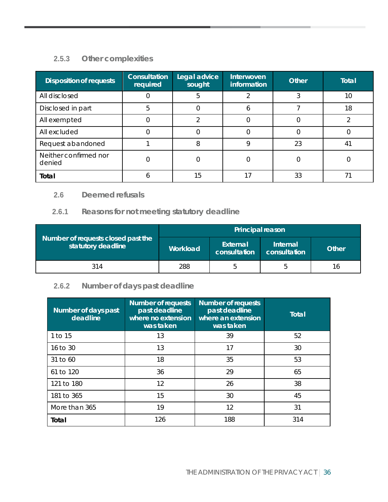#### **2.5.3 Other complexities**

| <b>Disposition of requests</b>  | <b>Consultation</b><br>required | Legal advice<br>sought | Interwoven<br>information | <b>Other</b> | <b>Total</b> |
|---------------------------------|---------------------------------|------------------------|---------------------------|--------------|--------------|
| All disclosed                   |                                 | 5                      | ◠                         | 3            | 10           |
| Disclosed in part               | 5                               |                        |                           |              | 18           |
| All exempted                    |                                 |                        |                           |              |              |
| All excluded                    |                                 |                        |                           |              |              |
| Request abandoned               |                                 | 8                      |                           | 23           | 4            |
| Neither confirmed nor<br>denied |                                 |                        |                           |              |              |
| Total                           |                                 | 15                     |                           | 33           |              |

#### **2.6 Deemed refusals**

#### **2.6.1 Reasons for not meeting statutory deadline**

|                                                          | Principal reason |                          |                          |       |  |  |
|----------------------------------------------------------|------------------|--------------------------|--------------------------|-------|--|--|
| Number of requests closed past the<br>statutory deadline | Workload         | External<br>consultation | Internal<br>consultation | Other |  |  |
| 314                                                      | 288              | b                        | b                        | 16    |  |  |

#### **2.6.2 Number of days past deadline**

| Number of days past<br>deadline | <b>Number of requests</b><br>past deadline<br>where no extension<br>was taken | <b>Number of requests</b><br>past deadline<br>where an extension<br>was taken | <b>Total</b> |
|---------------------------------|-------------------------------------------------------------------------------|-------------------------------------------------------------------------------|--------------|
| 1 to 15                         | 13                                                                            | 39                                                                            | 52           |
| 16 to 30                        | 13                                                                            | 17                                                                            | 30           |
| 31 to 60                        | 18                                                                            | 35                                                                            | 53           |
| 61 to 120                       | 36                                                                            | 29                                                                            | 65           |
| 121 to 180                      | 12                                                                            | 26                                                                            | 38           |
| 181 to 365                      | 15                                                                            | 30                                                                            | 45           |
| More than 365                   | 19                                                                            | 12                                                                            | 31           |
| Total                           | 126                                                                           | 188                                                                           | 314          |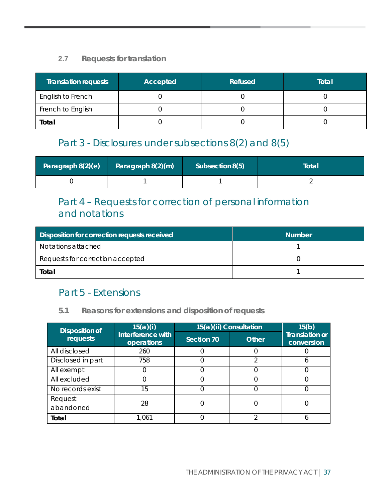#### **2.7 Requests for translation**

| <b>Translation requests</b> | Accepted | Refused | Total |
|-----------------------------|----------|---------|-------|
| English to French           |          |         |       |
| French to English           |          |         |       |
| Total                       |          |         |       |

#### Part 3 - Disclosures under subsections 8(2) and 8(5)

| Paragraph 8(2)(e) | Paragraph 8(2)(m) | Subsection 8(5) | Total |
|-------------------|-------------------|-----------------|-------|
|                   |                   |                 |       |

### Part 4 – Requests for correction of personal information and notations

| <b>Disposition for correction requests received</b> | <b>Number</b> |
|-----------------------------------------------------|---------------|
| Notations attached                                  |               |
| Requests for correction accepted                    |               |
| Total                                               |               |

#### Part 5 - Extensions

#### **5.1 Reasons for extensions and disposition of requests**

| Disposition of    | 15(a)(i)                        | 15(a)(ii) Consultation |              |                                     |  |  |
|-------------------|---------------------------------|------------------------|--------------|-------------------------------------|--|--|
| requests          | Interference with<br>operations | Section 70             | <b>Other</b> | <b>Translation or</b><br>conversion |  |  |
| All disclosed     | 260                             |                        |              |                                     |  |  |
| Disclosed in part | 758                             |                        |              |                                     |  |  |
| All exempt        |                                 |                        |              |                                     |  |  |
| All excluded      |                                 |                        |              |                                     |  |  |
| No records exist  | 15                              |                        |              |                                     |  |  |
| Request           | 28                              |                        |              |                                     |  |  |
| abandoned         |                                 |                        |              |                                     |  |  |
| Total             | 1.061                           |                        |              |                                     |  |  |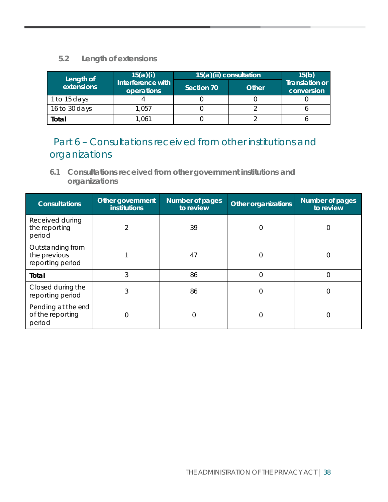#### **5.2 Length of extensions**

| Length of     | 15(a)(i)                        |            | 15(a)(ii) consultation |                                     |  |  |  |
|---------------|---------------------------------|------------|------------------------|-------------------------------------|--|--|--|
| extensions    | Interference with<br>operations | Section 70 | Other                  | <b>Translation or</b><br>conversion |  |  |  |
| 1 to 15 days  |                                 |            |                        |                                     |  |  |  |
| 16 to 30 days | 1,057                           |            |                        |                                     |  |  |  |
| Total         | 1,061                           |            |                        |                                     |  |  |  |

### Part 6 – Consultations received from other institutions and organizations

**6.1 Consultations received from other government institutions and organizations**

| <b>Consultations</b>                                 | Other government<br><b>institutions</b> | <b>Number</b> of pages<br>to review | Other organizations | Number of pages<br>to review |
|------------------------------------------------------|-----------------------------------------|-------------------------------------|---------------------|------------------------------|
| Received during<br>the reporting<br>period           | $\overline{2}$                          | 39                                  | 0                   | 0                            |
| Outstanding from<br>the previous<br>reporting period |                                         | 47                                  | $\Omega$            | 0                            |
| Total                                                | 3                                       | 86                                  | $\Omega$            | 0                            |
| Closed during the<br>reporting period                | 3                                       | 86                                  | 0                   |                              |
| Pending at the end<br>of the reporting<br>period     | 0                                       | 0                                   | 0                   | $\Omega$                     |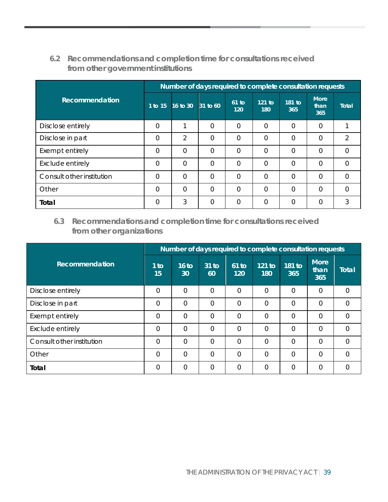#### **6.2 Recommendations and completion time for consultations received from other government institutions**

|                           | Number of days required to complete consultation requests |                |          |                |               |                |                            |              |  |  |
|---------------------------|-----------------------------------------------------------|----------------|----------|----------------|---------------|----------------|----------------------------|--------------|--|--|
| Recommendation            | 1 to 15                                                   | 16 to 30       | 31 to 60 | $61$ to<br>120 | 121 to<br>180 | 181 to<br>365  | <b>More</b><br>than<br>365 | <b>Total</b> |  |  |
| Disclose entirely         | 0                                                         | ⊣              | $\Omega$ | $\Omega$       | 0             | $\Omega$       | $\overline{0}$             |              |  |  |
| Disclose in part          | 0                                                         | $\overline{2}$ | $\Omega$ | $\Omega$       | 0             | $\Omega$       | $\mathbf 0$                | 2            |  |  |
| Exempt entirely           | 0                                                         | $\overline{0}$ | $\Omega$ | $\Omega$       | 0             | $\Omega$       | $\Omega$                   | $\Omega$     |  |  |
| Exclude entirely          | 0                                                         | $\Omega$       | $\Omega$ | $\Omega$       | $\Omega$      | $\overline{0}$ | $\overline{0}$             | $\Omega$     |  |  |
| Consult other institution | 0                                                         | $\Omega$       | $\Omega$ | $\Omega$       | $\Omega$      | $\Omega$       | $\Omega$                   | $\Omega$     |  |  |
| Other                     | 0                                                         | $\Omega$       | $\Omega$ | $\Omega$       | $\Omega$      | $\overline{0}$ | $\overline{0}$             | $\Omega$     |  |  |
| Total                     | 0                                                         | 3              | $\Omega$ | $\Omega$       | 0             | $\Omega$       | $\overline{0}$             | 3            |  |  |

#### **6.3 Recommendations and completion time for consultations received from other organizations**

|                           | Number of days required to complete consultation requests |                |                |                |                |                |                            |              |  |
|---------------------------|-----------------------------------------------------------|----------------|----------------|----------------|----------------|----------------|----------------------------|--------------|--|
| Recommendation            | $1$ to<br>15                                              | 16 to<br>30    | $31$ to<br>60  | $61$ to<br>120 | 121 to<br>180  | 181 to<br>365  | <b>More</b><br>than<br>365 | <b>Total</b> |  |
| Disclose entirely         | $\Omega$                                                  | $\overline{0}$ | $\overline{0}$ | $\Omega$       | $\overline{0}$ | $\Omega$       | $\Omega$                   | 0            |  |
| Disclose in part          | $\Omega$                                                  | $\Omega$       | $\Omega$       | $\Omega$       | $\Omega$       | $\Omega$       | $\Omega$                   | $\Omega$     |  |
| Exempt entirely           | $\Omega$                                                  | $\overline{0}$ | $\overline{0}$ | $\overline{0}$ | $\overline{0}$ | $\overline{0}$ | $\Omega$                   | $\Omega$     |  |
| Exclude entirely          | $\Omega$                                                  | $\overline{0}$ | $\overline{0}$ | $\overline{0}$ | $\Omega$       | $\overline{0}$ | $\Omega$                   | $\Omega$     |  |
| Consult other institution | $\Omega$                                                  | $\Omega$       | $\overline{0}$ | $\Omega$       | $\overline{0}$ | $\Omega$       | $\Omega$                   | $\Omega$     |  |
| Other                     | $\overline{0}$                                            | $\overline{0}$ | $\overline{0}$ | $\Omega$       | $\overline{0}$ | $\Omega$       | $\Omega$                   | $\Omega$     |  |
| Total                     | $\Omega$                                                  | $\Omega$       | $\overline{0}$ | $\Omega$       | $\Omega$       | $\Omega$       | 0                          | $\Omega$     |  |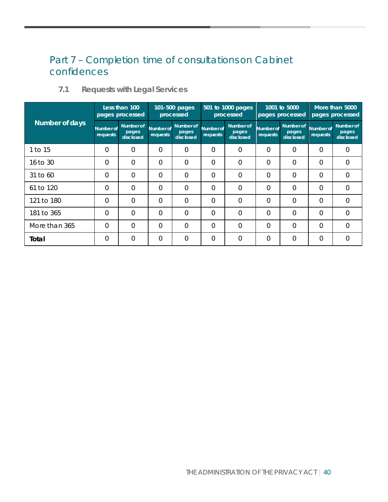### Part 7 – Completion time of consultations on Cabinet confidences

| Less than 100<br>pages processed |                       |                                 | 101-500 pages<br>processed   |                                 | 501 to 1000 pages<br>processed |                                 | 1001 to 5000<br>pages processed |                                 | More than 5000<br>pages processed |                                        |
|----------------------------------|-----------------------|---------------------------------|------------------------------|---------------------------------|--------------------------------|---------------------------------|---------------------------------|---------------------------------|-----------------------------------|----------------------------------------|
| Number of days                   | Number of<br>requests | Number of<br>pages<br>disclosed | <b>Number of</b><br>requests | Number of<br>pages<br>disclosed | Number of<br>requests          | Number of<br>pages<br>disclosed | Number of<br>requests           | Number of<br>pages<br>disclosed | Number of<br>requests             | <b>Number of</b><br>pages<br>disclosed |
| 1 to 15                          | 0                     | $\Omega$                        | $\Omega$                     | $\Omega$                        | $\Omega$                       | $\Omega$                        | $\Omega$                        | $\Omega$                        | $\Omega$                          | $\Omega$                               |
| 16 to 30                         | 0                     | $\Omega$                        | $\Omega$                     | $\Omega$                        | $\overline{0}$                 | $\Omega$                        | $\Omega$                        | $\Omega$                        | $\Omega$                          | $\Omega$                               |
| 31 to 60                         | 0                     | $\Omega$                        | $\overline{0}$               | $\overline{0}$                  | $\overline{0}$                 | $\overline{0}$                  | $\Omega$                        | $\Omega$                        | $\Omega$                          | $\overline{0}$                         |
| 61 to 120                        | 0                     | $\Omega$                        | $\Omega$                     | $\Omega$                        | $\overline{0}$                 | $\overline{0}$                  | $\Omega$                        | $\overline{0}$                  | $\Omega$                          | $\overline{0}$                         |
| 121 to 180                       | 0                     | $\overline{0}$                  | 0                            | $\Omega$                        | $\overline{0}$                 | $\overline{0}$                  | $\overline{0}$                  | $\Omega$                        | $\Omega$                          | $\overline{0}$                         |
| 181 to 365                       | 0                     | $\Omega$                        | 0                            | $\overline{0}$                  | $\Omega$                       | $\Omega$                        | $\Omega$                        | $\Omega$                        | $\Omega$                          | $\Omega$                               |
| More than 365                    | 0                     | $\overline{0}$                  | 0                            | $\Omega$                        | $\Omega$                       | $\Omega$                        | $\Omega$                        | $\Omega$                        | $\Omega$                          | $\Omega$                               |
| Total                            | 0                     | $\overline{0}$                  | 0                            | $\overline{0}$                  | $\overline{0}$                 | $\Omega$                        | $\Omega$                        | $\Omega$                        | $\Omega$                          | $\overline{0}$                         |

#### **7.1 Requests with Legal Services**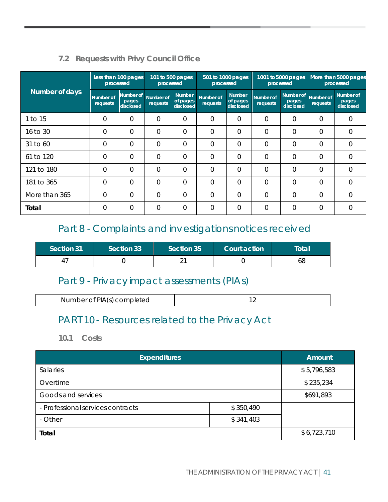#### **7.2 Requests with Privy Council Office**

|                |                       | Less than 100 pages<br>processed | 101 to 500 pages<br>processed |                                        | 501 to 1000 pages<br>processed |                                        | 1001 to 5000 pages<br>processed |                                 | More than 5000 pages<br>processed |                                 |
|----------------|-----------------------|----------------------------------|-------------------------------|----------------------------------------|--------------------------------|----------------------------------------|---------------------------------|---------------------------------|-----------------------------------|---------------------------------|
| Number of days | Number of<br>requests | Number of<br>pages<br>disclosed  | Number of<br>requests         | <b>Number</b><br>of pages<br>disclosed | Number of<br>requests          | <b>Number</b><br>of pages<br>disclosed | Number of<br>requests           | Number of<br>pages<br>disclosed | <b>Number of</b><br>requests      | Number of<br>pages<br>disclosed |
| 1 to 15        | 0                     | $\Omega$                         | 0                             | $\Omega$                               | $\overline{0}$                 | $\Omega$                               | $\overline{0}$                  | 0                               | 0                                 | $\Omega$                        |
| 16 to 30       | 0                     | $\Omega$                         | 0                             | $\Omega$                               | $\mathbf 0$                    | $\Omega$                               | 0                               | 0                               | $\Omega$                          | 0                               |
| 31 to 60       | $\Omega$              | $\overline{0}$                   | $\overline{0}$                | $\overline{0}$                         | $\overline{0}$                 | $\overline{0}$                         | $\overline{0}$                  | $\overline{0}$                  | 0                                 | $\overline{0}$                  |
| 61 to 120      | $\Omega$              | $\Omega$                         | $\Omega$                      | $\Omega$                               | $\Omega$                       | $\Omega$                               | $\Omega$                        | 0                               | $\Omega$                          | $\Omega$                        |
| 121 to 180     | 0                     | $\overline{0}$                   | $\overline{0}$                | $\overline{0}$                         | $\overline{0}$                 | $\overline{0}$                         | $\overline{0}$                  | $\overline{0}$                  | $\overline{0}$                    | $\overline{0}$                  |
| 181 to 365     | 0                     | $\Omega$                         | $\Omega$                      | $\overline{0}$                         | $\overline{0}$                 | $\Omega$                               | $\overline{0}$                  | $\overline{0}$                  | $\Omega$                          | $\overline{0}$                  |
| More than 365  | $\Omega$              | $\Omega$                         | $\Omega$                      | $\Omega$                               | $\Omega$                       | $\Omega$                               | $\Omega$                        | 0                               | $\Omega$                          | $\Omega$                        |
| Total          | $\Omega$              | $\Omega$                         | $\Omega$                      | $\Omega$                               | $\overline{0}$                 | $\overline{0}$                         | $\overline{0}$                  | $\overline{0}$                  | $\Omega$                          | $\Omega$                        |

### Part 8 - Complaints and investigations notices received

| <b>Section 31</b> | Section 33 | Section 35 | Court action | Total |
|-------------------|------------|------------|--------------|-------|
| ᅭ                 |            |            |              | 68    |

#### Part 9 - Privacy impact assessments (PIAs)

| PIAI<br>Number of I<br>ompleted<br>(؟<br>111131<br>. |  |
|------------------------------------------------------|--|

### PART 10 - Resources related to the Privacy Act

**10.1 Costs**

| <b>Expenditures</b>               |           | <b>Amount</b> |
|-----------------------------------|-----------|---------------|
| Salaries                          |           | \$5,796,583   |
| Overtime                          |           | \$235,234     |
| Goods and services                |           | \$691,893     |
| - Professional services contracts | \$350,490 |               |
| - Other                           | \$341,403 |               |
| Total                             |           | \$6,723,710   |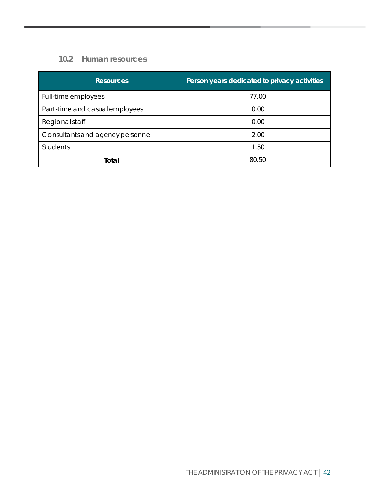#### **10.2 Human resources**

| <b>Resources</b>                 | Person years dedicated to privacy activities |
|----------------------------------|----------------------------------------------|
| Full-time employees              | 77.00                                        |
| Part-time and casual employees   | 0.00                                         |
| Regional staff                   | 0.00                                         |
| Consultants and agency personnel | 2.00                                         |
| <b>Students</b>                  | 1.50                                         |
| Total                            | 80.50                                        |